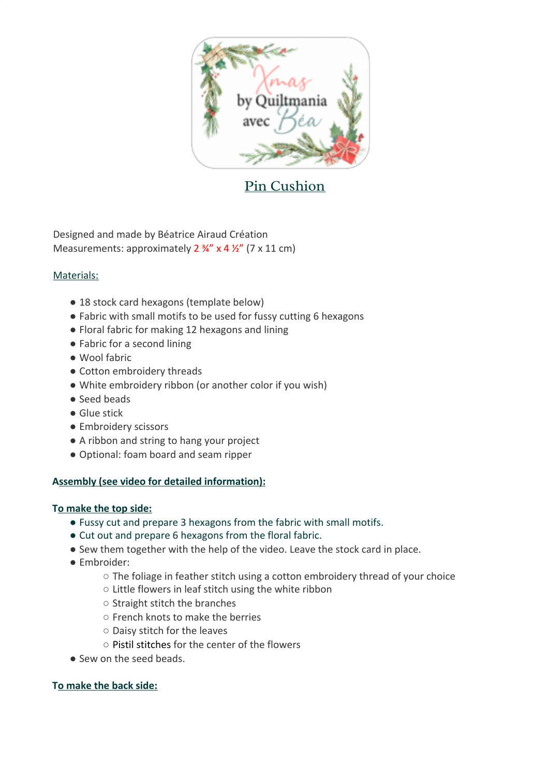

# Pin Cushion

Designed and made by Béatrice Airaud Création Measurements: approximately  $2\frac{3}{4}$  x 4  $\frac{1}{2}$  (7 x 11 cm)

## Materials:

- 18 stock card hexagons (template below)
- Fabric with small motifs to be used for fussy cutting 6 hexagons
- Floral fabric for making 12 hexagons and lining
- Fabric for a second lining
- Wool fabric
- Cotton embroidery threads
- White embroidery ribbon (or another color if you wish)
- Seed beads
- Glue stick
- Embroidery scissors
- A ribbon and string to hang your project
- Optional: foam board and seam ripper

## **Assembly (see video for detailed information):**

## **To make the top side:**

- Fussy cut and prepare 3 hexagons from the fabric with small motifs.
- Cut out and prepare 6 hexagons from the floral fabric.
- Sew them together with the help of the video. Leave the stock card in place.
- Embroider:
	- $\circ$  The foliage in feather stitch using a cotton embroidery thread of your choice
	- Little flowers in leaf stitch using the white ribbon
	- Straight stitch the branches
	- French knots to make the berries
	- Daisy stitch for the leaves
	- Pistil stitches for the center of the flowers
- Sew on the seed beads.

## **To make the back side:**